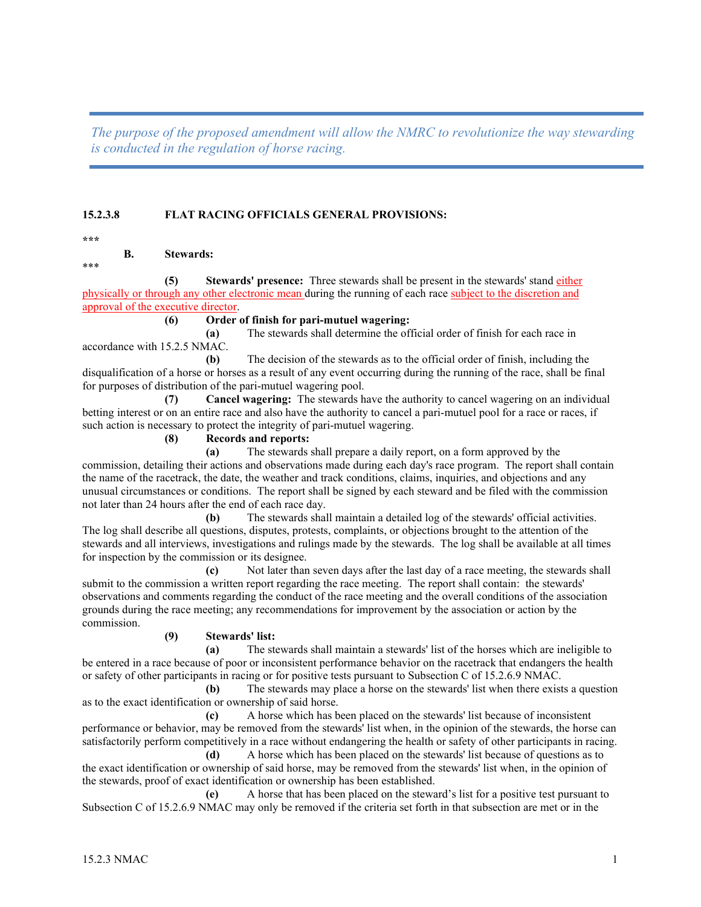*The purpose of the proposed amendment will allow the NMRC to revolutionize the way stewarding is conducted in the regulation of horse racing.* 

# **15.2.3.8 FLAT RACING OFFICIALS GENERAL PROVISIONS:**

**\*\*\***

**B. Stewards:**

\*\*\*

**(5) Stewards' presence:** Three stewards shall be present in the stewards' stand either physically or through any other electronic mean during the running of each race subject to the discretion and approval of the executive director.

#### **(6) Order of finish for pari-mutuel wagering:**

**(a)** The stewards shall determine the official order of finish for each race in accordance with 15.2.5 NMAC.

**(b)** The decision of the stewards as to the official order of finish, including the disqualification of a horse or horses as a result of any event occurring during the running of the race, shall be final for purposes of distribution of the pari-mutuel wagering pool.

**(7) Cancel wagering:** The stewards have the authority to cancel wagering on an individual betting interest or on an entire race and also have the authority to cancel a pari-mutuel pool for a race or races, if such action is necessary to protect the integrity of pari-mutuel wagering.

#### **(8) Records and reports:**

**(a)** The stewards shall prepare a daily report, on a form approved by the commission, detailing their actions and observations made during each day's race program. The report shall contain the name of the racetrack, the date, the weather and track conditions, claims, inquiries, and objections and any unusual circumstances or conditions. The report shall be signed by each steward and be filed with the commission not later than 24 hours after the end of each race day.

**(b)** The stewards shall maintain a detailed log of the stewards' official activities. The log shall describe all questions, disputes, protests, complaints, or objections brought to the attention of the stewards and all interviews, investigations and rulings made by the stewards. The log shall be available at all times for inspection by the commission or its designee.

**(c)** Not later than seven days after the last day of a race meeting, the stewards shall submit to the commission a written report regarding the race meeting. The report shall contain: the stewards' observations and comments regarding the conduct of the race meeting and the overall conditions of the association grounds during the race meeting; any recommendations for improvement by the association or action by the commission.

### **(9) Stewards' list:**

**(a)** The stewards shall maintain a stewards' list of the horses which are ineligible to be entered in a race because of poor or inconsistent performance behavior on the racetrack that endangers the health or safety of other participants in racing or for positive tests pursuant to Subsection C of 15.2.6.9 NMAC.

**(b)** The stewards may place a horse on the stewards' list when there exists a question as to the exact identification or ownership of said horse.

**(c)** A horse which has been placed on the stewards' list because of inconsistent performance or behavior, may be removed from the stewards' list when, in the opinion of the stewards, the horse can satisfactorily perform competitively in a race without endangering the health or safety of other participants in racing.

**(d)** A horse which has been placed on the stewards' list because of questions as to the exact identification or ownership of said horse, may be removed from the stewards' list when, in the opinion of the stewards, proof of exact identification or ownership has been established.

**(e)** A horse that has been placed on the steward's list for a positive test pursuant to Subsection C of 15.2.6.9 NMAC may only be removed if the criteria set forth in that subsection are met or in the